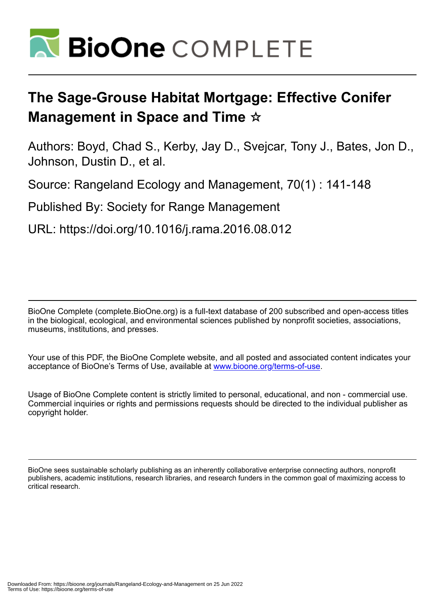

# **The Sage-Grouse Habitat Mortgage: Effective Conifer Management in Space and Time** ☆

Authors: Boyd, Chad S., Kerby, Jay D., Svejcar, Tony J., Bates, Jon D., Johnson, Dustin D., et al.

Source: Rangeland Ecology and Management, 70(1) : 141-148

Published By: Society for Range Management

URL: https://doi.org/10.1016/j.rama.2016.08.012

BioOne Complete (complete.BioOne.org) is a full-text database of 200 subscribed and open-access titles in the biological, ecological, and environmental sciences published by nonprofit societies, associations, museums, institutions, and presses.

Your use of this PDF, the BioOne Complete website, and all posted and associated content indicates your acceptance of BioOne's Terms of Use, available at www.bioone.org/terms-of-use.

Usage of BioOne Complete content is strictly limited to personal, educational, and non - commercial use. Commercial inquiries or rights and permissions requests should be directed to the individual publisher as copyright holder.

BioOne sees sustainable scholarly publishing as an inherently collaborative enterprise connecting authors, nonprofit publishers, academic institutions, research libraries, and research funders in the common goal of maximizing access to critical research.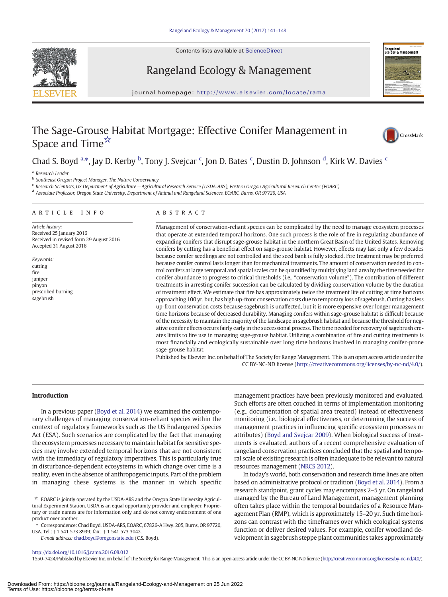Contents lists available at ScienceDirect





### Rangeland Ecology & Management

journal homepage: http://www.elsevier.com/locate/rama

## The Sage-Grouse Habitat Mortgage: Effective Conifer Management in Space and Time<sup>☆</sup>



### Chad S. Boyd <sup>a,\*</sup>, Jay D. Kerby <sup>b</sup>, Tony J. Svejcar <sup>c</sup>, Jon D. Bates <sup>c</sup>, Dustin D. Johnson <sup>d</sup>, Kirk W. Davies <sup>c</sup>

<sup>a</sup> Research Leader

**b** Southeast Oregon Project Manager, The Nature Conservancy

<sup>c</sup> Research Scientists, US Department of Agriculture−Agricultural Research Service (USDA-ARS), Eastern Oregon Agricultural Research Center (EOARC)

<sup>d</sup> Associate Professor, Oregon State University, Department of Animal and Rangeland Sciences, EOARC, Burns, OR 97720, USA

#### article info abstract

Article history: Received 25 January 2016 Received in revised form 29 August 2016 Accepted 31 August 2016

Keywords: cutting fire juniper pinyon prescribed burning sagebrush

Management of conservation-reliant species can be complicated by the need to manage ecosystem processes that operate at extended temporal horizons. One such process is the role of fire in regulating abundance of expanding conifers that disrupt sage-grouse habitat in the northern Great Basin of the United States. Removing conifers by cutting has a beneficial effect on sage-grouse habitat. However, effects may last only a few decades because conifer seedlings are not controlled and the seed bank is fully stocked. Fire treatment may be preferred because conifer control lasts longer than for mechanical treatments. The amount of conservation needed to control conifers at large temporal and spatial scales can be quantified by multiplying land area by the time needed for conifer abundance to progress to critical thresholds (i.e., "conservation volume"). The contribution of different treatments in arresting conifer succession can be calculated by dividing conservation volume by the duration of treatment effect. We estimate that fire has approximately twice the treatment life of cutting at time horizons approaching 100 yr, but, has high up-front conservation costs due to temporary loss of sagebrush. Cutting has less up-front conservation costs because sagebrush is unaffected, but it is more expensive over longer management time horizons because of decreased durability. Managing conifers within sage-grouse habitat is difficult because of the necessity to maintain the majority of the landscape in sagebrush habitat and because the threshold for negative conifer effects occurs fairly early in the successional process. The time needed for recovery of sagebrush creates limits to fire use in managing sage-grouse habitat. Utilizing a combination of fire and cutting treatments is most financially and ecologically sustainable over long time horizons involved in managing conifer-prone sage-grouse habitat.

Published by Elsevier Inc. on behalf of The Society for Range Management. This is an open access article under the CC BY-NC-ND license (http://creativecommons.org/licenses/by-nc-nd/4.0/).

#### Introduction

In a previous paper [\(Boyd et al. 2014](#page-7-0)) we examined the contemporary challenges of managing conservation-reliant species within the context of regulatory frameworks such as the US Endangered Species Act (ESA). Such scenarios are complicated by the fact that managing the ecosystem processes necessary to maintain habitat for sensitive species may involve extended temporal horizons that are not consistent with the immediacy of regulatory imperatives. This is particularly true in disturbance-dependent ecosystems in which change over time is a reality, even in the absence of anthropogenic inputs. Part of the problem in managing these systems is the manner in which specific

management practices have been previously monitored and evaluated. Such efforts are often couched in terms of implementation monitoring (e.g., documentation of spatial area treated) instead of effectiveness monitoring (i.e., biological effectiveness, or determining the success of management practices in influencing specific ecosystem processes or attributes) [\(Boyd and Svejcar 2009\)](#page-7-0). When biological success of treatments is evaluated, authors of a recent comprehensive evaluation of rangeland conservation practices concluded that the spatial and temporal scale of existing research is often inadequate to be relevant to natural resources management ([NRCS 2012\)](#page-7-0).

In today's world, both conservation and research time lines are often based on administrative protocol or tradition [\(Boyd et al. 2014](#page-7-0)). From a research standpoint, grant cycles may encompass 2–5 yr. On rangeland managed by the Bureau of Land Management, management planning often takes place within the temporal boundaries of a Resource Management Plan (RMP), which is approximately 15–20 yr. Such time horizons can contrast with the timeframes over which ecological systems function or deliver desired values. For example, conifer woodland development in sagebrush steppe plant communities takes approximately

#### <http://dx.doi.org/10.1016/j.rama.2016.08.012>

 $\star$  EOARC is jointly operated by the USDA-ARS and the Oregon State University Agricultural Experiment Station. USDA is an equal opportunity provider and employer. Proprietary or trade names are for information only and do not convey endorsement of one product over another.

<sup>⁎</sup> Correspondence: Chad Boyd, USDA-ARS, EOARC, 67826-A Hwy. 205, Burns, OR 97720, USA. Tel.:+1 541 573 8939; fax: +1 541 573 3042.

E-mail address: [chad.boyd@oregonstate.edu](mailto:chad.boyd@oregonstate.edu) (C.S. Boyd).

<sup>1550-7424/</sup>Published by Elsevier Inc. on behalf of The Society for Range Management. This is an open access article under the CC BY-NC-ND license (http://creativecommons.org/licenses/by-nc-nd/4.0/).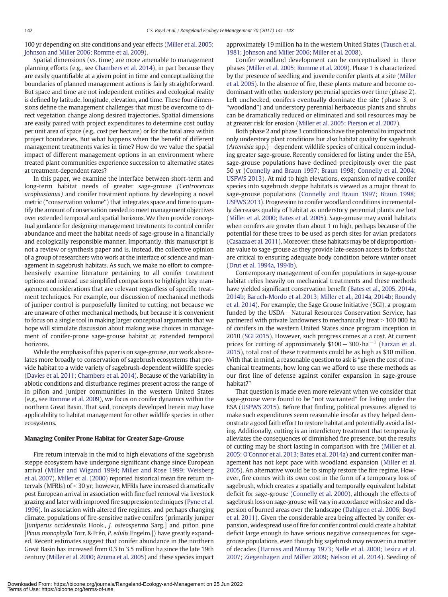100 yr depending on site conditions and year effects [\(Miller et al. 2005;](#page-7-0) [Johnson and Miller 2006; Romme et al. 2009\)](#page-7-0).

Spatial dimensions (vs. time) are more amenable to management planning efforts (e.g., see [Chambers et al. 2014](#page-7-0)), in part because they are easily quantifiable at a given point in time and conceptualizing the boundaries of planned management actions is fairly straightforward. But space and time are not independent entities and ecological reality is defined by latitude, longitude, elevation, and time. These four dimensions define the management challenges that must be overcome to direct vegetation change along desired trajectories. Spatial dimensions are easily paired with project expenditures to determine cost outlay per unit area of space (e.g., cost per hectare) or for the total area within project boundaries. But what happens when the benefit of different management treatments varies in time? How do we value the spatial impact of different management options in an environment where treated plant communities experience succession to alternative states at treatment-dependent rates?

In this paper, we examine the interface between short-term and long-term habitat needs of greater sage-grouse (Centrocercus urophasianus) and conifer treatment options by developing a novel metric ("conservation volume") that integrates space and time to quantify the amount of conservation needed to meet management objectives over extended temporal and spatial horizons. We then provide conceptual guidance for designing management treatments to control conifer abundance and meet the habitat needs of sage-grouse in a financially and ecologically responsible manner. Importantly, this manuscript is not a review or synthesis paper and is, instead, the collective opinion of a group of researchers who work at the interface of science and management in sagebrush habitats. As such, we make no effort to comprehensively examine literature pertaining to all conifer treatment options and instead use simplified comparisons to highlight key management considerations that are relevant regardless of specific treatment techniques. For example, our discussion of mechanical methods of juniper control is purposefully limited to cutting, not because we are unaware of other mechanical methods, but because it is convenient to focus on a single tool in making larger conceptual arguments that we hope will stimulate discussion about making wise choices in management of conifer-prone sage-grouse habitat at extended temporal horizons.

While the emphasis of this paper is on sage-grouse, our work also relates more broadly to conservation of sagebrush ecosystems that provide habitat to a wide variety of sagebrush-dependent wildlife species ([Davies et al. 2011; Chambers et al. 2014](#page-7-0)). Because of the variability in abiotic conditions and disturbance regimes present across the range of in piñon and juniper communities in the western United States (e.g., see [Romme et al. 2009\)](#page-8-0), we focus on conifer dynamics within the northern Great Basin. That said, concepts developed herein may have applicability to habitat management for other wildlife species in other ecosystems.

#### Managing Conifer Prone Habitat for Greater Sage-Grouse

Fire return intervals in the mid to high elevations of the sagebrush steppe ecosystem have undergone significant change since European arrival [\(Miller and Wigand 1994; Miller and Rose 1999; Weisberg](#page-7-0) [et al. 2007](#page-7-0)). [Miller et al. \(2000\)](#page-7-0) reported historical mean fire return intervals (MFRIs) of  $<$  30 yr; however, MFRIs have increased dramatically post European arrival in association with fine fuel removal via livestock grazing and later with improved fire suppression techniques [\(Pyne et al.](#page-8-0) [1996\)](#page-8-0). In association with altered fire regimes, and perhaps changing climate, populations of fire-sensitive native conifers (primarily juniper [Juniperus occidentalis Hook., J. osteosperma Sarg.] and piñon pine [Pinus monophylla Torr. & Frén, P. edulis Engelm.]) have greatly expanded. Recent estimates suggest that conifer abundance in the northern Great Basin has increased from 0.3 to 3.5 million ha since the late 19th century ([Miller et al. 2000; Azuma et al. 2005\)](#page-7-0) and these species impact approximately 19 million ha in the western United States [\(Tausch et al.](#page-8-0) [1981; Johnson and Miller 2006; Miller et al. 2008](#page-8-0)).

Conifer woodland development can be conceptualized in three phases [\(Miller et al. 2005; Romme et al. 2009](#page-7-0)). Phase 1 is characterized by the presence of seedling and juvenile conifer plants at a site [\(Miller](#page-7-0) [et al. 2005](#page-7-0)). In the absence of fire, these plants mature and become codominant with other understory perennial species over time (phase 2). Left unchecked, conifers eventually dominate the site (phase 3, or "woodland") and understory perennial herbaceous plants and shrubs can be dramatically reduced or eliminated and soil resources may be at greater risk for erosion ([Miller et al. 2005; Pierson et al. 2007\)](#page-7-0).

Both phase 2 and phase 3 conditions have the potential to impact not only understory plant conditions but also habitat quality for sagebrush (Artemisia spp.)−dependent wildlife species of critical concern including greater sage-grouse. Recently considered for listing under the ESA, sage-grouse populations have declined precipitously over the past 50 yr [\(Connelly and Braun 1997; Braun 1998; Connelly et al. 2004;](#page-7-0) [USFWS 2013](#page-7-0)). At mid to high elevations, expansion of native conifer species into sagebrush steppe habitats is viewed as a major threat to sage-grouse populations ([Connelly and Braun 1997; Braun 1998;](#page-7-0) [USFWS 2013](#page-7-0)). Progression to conifer woodland conditions incrementally decreases quality of habitat as understory perennial plants are lost ([Miller et al. 2000; Bates et al. 2005](#page-7-0)). Sage-grouse may avoid habitats when conifers are greater than about 1 m high, perhaps because of the potential for these trees to be used as perch sites for avian predators ([Casazza et al. 2011\)](#page-7-0). Moreover, these habitats may be of disproportionate value to sage-grouse as they provide late-season access to forbs that are critical to ensuring adequate body condition before winter onset ([Drut et al. 1994a, 1994b](#page-7-0)).

Contemporary management of conifer populations in sage-grouse habitat relies heavily on mechanical treatments and these methods have yielded significant conservation benefit [\(Bates et al., 2005, 2014a,](#page-7-0) [2014b; Baruch-Mordo et al. 2013; Miller et al., 2014a, 2014b; Roundy](#page-7-0) [et al. 2014](#page-7-0)). For example, the Sage Grouse Initiative (SGI), a program funded by the USDA−Natural Resources Conservation Service, has partnered with private landowners to mechanically treat  $> 100 000$  ha of conifers in the western United States since program inception in 2010 ([SGI 2015](#page-8-0)). However, such progress comes at a cost. At current prices for cutting of approximately \$100−300·ha−<sup>1</sup> ([Farzan et al.](#page-7-0) [2015\)](#page-7-0), total cost of these treatments could be as high as \$30 million. With that in mind, a reasonable question to ask is "given the cost of mechanical treatments, how long can we afford to use these methods as our first line of defense against conifer expansion in sage-grouse habitat?"

That question is made even more relevant when we consider that sage-grouse were found to be "not warranted" for listing under the ESA [\(USFWS 2015\)](#page-8-0). Before that finding, political pressures aligned to make such expenditures seem reasonable insofar as they helped demonstrate a good faith effort to restore habitat and potentially avoid a listing. Additionally, cutting is an interdictory treatment that temporarily alleviates the consequences of diminished fire presence, but the results of cutting may be short lasting in comparison with fire [\(Miller et al.](#page-7-0) 2005; O'[Connor et al. 2013; Bates et al. 2014a](#page-7-0)) and current conifer management has not kept pace with woodland expansion [\(Miller et al.](#page-7-0) [2005](#page-7-0)). An alternative would be to simply restore the fire regime. However, fire comes with its own cost in the form of a temporary loss of sagebrush, which creates a spatially and temporally equivalent habitat deficit for sage-grouse [\(Connelly et al. 2000](#page-7-0)), although the effects of sagebrush loss on sage-grouse will vary in accordance with size and dispersion of burned areas over the landscape ([Dahlgren et al. 2006; Boyd](#page-7-0) [et al. 2011](#page-7-0)). Given the considerable area being affected by conifer expansion, widespread use of fire for conifer control could create a habitat deficit large enough to have serious negative consequences for sagegrouse populations, even though big sagebrush may recover in a matter of decades [\(Harniss and Murray 1973; Nelle et al. 2000; Lesica et al.](#page-7-0) [2007; Ziegenhagen and Miller 2009; Nelson et al. 2014\)](#page-7-0). Seeding of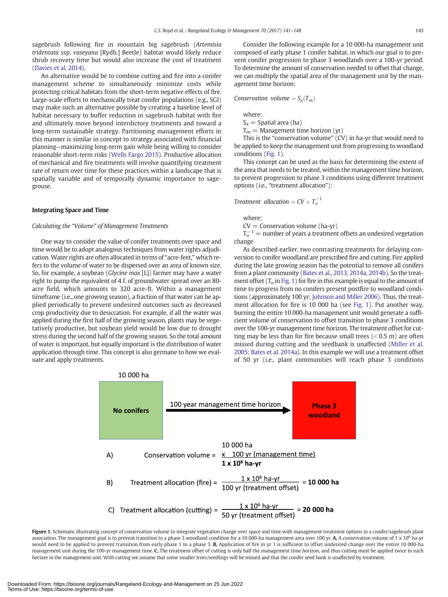<span id="page-3-0"></span>sagebrush following fire in mountain big sagebrush (Artemisia tridentata ssp. vaseyana [Rydb.] Beetle) habitat would likely reduce shrub recovery time but would also increase the cost of treatment [\(Davies et al. 2014](#page-7-0)).

An alternative would be to combine cutting and fire into a conifer management scheme to simultaneously minimize costs while protecting critical habitats from the short-term negative effects of fire. Large-scale efforts to mechanically treat conifer populations (e.g., SGI) may make such an alternative possible by creating a baseline level of habitat necessary to buffer reduction in sagebrush habitat with fire and ultimately move beyond interdictory treatments and toward a long-term sustainable strategy. Partitioning management efforts in this manner is similar in concept to strategy associated with financial planning—maximizing long-term gain while being willing to consider reasonable short-term risks ([Wells Fargo 2015](#page-8-0)). Productive allocation of mechanical and fire treatments will involve quantifying treatment rate of return over time for these practices within a landscape that is spatially variable and of temporally dynamic importance to sagegrouse.

#### Integrating Space and Time

#### Calculating the "Volume" of Management Treatments

One way to consider the value of conifer treatments over space and time would be to adopt analogous techniques from water rights adjudication. Water rights are often allocated in terms of "acre-feet," which refers to the volume of water to be dispersed over an area of known size. So, for example, a soybean (Glycine max [L]) farmer may have a water right to pump the equivalent of 4 f. of groundwater spread over an 80 acre field, which amounts to 320 acre-ft. Within a management timeframe (i.e., one growing season), a fraction of that water can be applied periodically to prevent undesired outcomes such as decreased crop productivity due to desiccation. For example, if all the water was applied during the first half of the growing season, plants may be vegetatively productive, but soybean yield would be low due to drought stress during the second half of the growing season. So the total amount of water is important, but equally important is the distribution of water application through time. This concept is also germane to how we evaluate and apply treatments.

Consider the following example for a 10 000-ha management unit composed of early phase 1 conifer habitat, in which our goal is to prevent conifer progression to phase 3 woodlands over a 100-yr period. To determine the amount of conservation needed to offset that change, we can multiply the spatial area of the management unit by the management time horizon:

Conservation volume = 
$$
S_a(T_m)
$$

where:

 $S_a =$  Spatial area (ha)

 $T_m =$  Management time horizon (yr)

This is the "conservation volume" (CV) in ha-yr that would need to be applied to keep the management unit from progressing to woodland conditions (Fig. 1).

This concept can be used as the basis for determining the extent of the area that needs to be treated, within the management time horizon, to prevent progression to phase 3 conditions using different treatment options (i.e., "treatment allocation"):

Treatment allocation =  $CV \div T_0^{-1}$ 

where:

 $CV = Conservation$  volume (ha-yr)

 $T_{\mathrm{o}}^{-1} =$  number of years a treatment offsets an undesired vegetation change

As described earlier, two contrasting treatments for delaying conversion to conifer woodland are prescribed fire and cutting. Fire applied during the late growing season has the potential to remove all conifers from a plant community ([Bates et al., 2013, 2014a, 2014b](#page-7-0)). So the treatment offset  $(T_0$  in Fig. 1) for fire in this example is equal to the amount of time to progress from no conifers present postfire to woodland conditions (approximately 100 yr; [Johnson and Miller 2006](#page-7-0)). Thus, the treatment allocation for fire is 10 000 ha (see Fig. 1). Put another way, burning the entire 10 000-ha management unit would generate a sufficient volume of conservation to offset transition to phase 3 conditions over the 100-yr management time horizon. The treatment offset for cutting may be less than for fire because small trees  $(< 0.5$  m) are often missed during cutting and the seedbank is unaffected [\(Miller et al.](#page-7-0) [2005; Bates et al. 2014a\)](#page-7-0). In this example we will use a treatment offset of 50 yr (i.e., plant communities will reach phase 3 conditions



Figure 1. Schematic illustrating concept of conservation volume to integrate vegetation change over space and time with management treatment options in a conifer/sagebrush plant association. The management goal is to prevent transition to a phase 3 woodland condition for a 10 000-ha management area over 100 yr. A, A conservation volume of 1 x 10<sup>6</sup> ha-yr would need to be applied to prevent transition from early phase 1 to a phase 3. B, Application of fire in yr 1 is sufficient to offset undesired change over the entire 10 000-ha management unit during the 100-yr management time. C, The treatment offset of cutting is only half the management time horizon, and thus cutting must be applied twice to each hectare in the management unit. With cutting we assume that some smaller trees/seedlings will be missed and that the conifer seed bank is unaffected by treatment.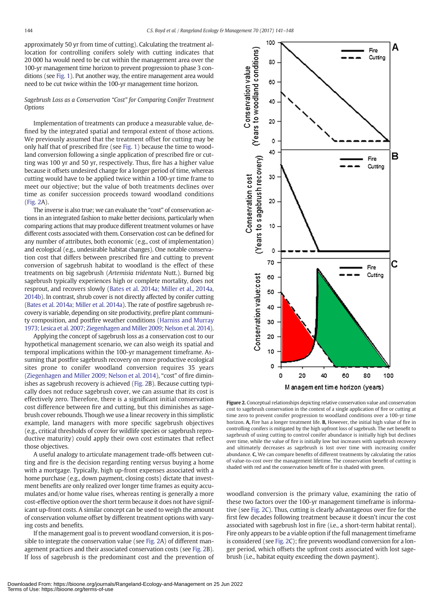approximately 50 yr from time of cutting). Calculating the treatment allocation for controlling conifers solely with cutting indicates that 20 000 ha would need to be cut within the management area over the 100-yr management time horizon to prevent progression to phase 3 conditions (see [Fig. 1\)](#page-3-0). Put another way, the entire management area would need to be cut twice within the 100-yr management time horizon.

### Sagebrush Loss as a Conservation "Cost" for Comparing Conifer Treatment **Options**

Implementation of treatments can produce a measurable value, defined by the integrated spatial and temporal extent of those actions. We previously assumed that the treatment offset for cutting may be only half that of prescribed fire (see [Fig. 1\)](#page-3-0) because the time to woodland conversion following a single application of prescribed fire or cutting was 100 yr and 50 yr, respectively. Thus, fire has a higher value because it offsets undesired change for a longer period of time, whereas cutting would have to be applied twice within a 100-yr time frame to meet our objective; but the value of both treatments declines over time as conifer succession proceeds toward woodland conditions (Fig. 2A).

The inverse is also true; we can evaluate the "cost" of conservation actions in an integrated fashion to make better decisions, particularly when comparing actions that may produce different treatment volumes or have different costs associated with them. Conservation cost can be defined for any number of attributes, both economic (e.g., cost of implementation) and ecological (e.g., undesirable habitat changes). One notable conservation cost that differs between prescribed fire and cutting to prevent conversion of sagebrush habitat to woodland is the effect of these treatments on big sagebrush (Artemisia tridentata Nutt.). Burned big sagebrush typically experiences high or complete mortality, does not resprout, and recovers slowly [\(Bates et al. 2014a; Miller et al., 2014a,](#page-7-0) [2014b](#page-7-0)). In contrast, shrub cover is not directly affected by conifer cutting ([Bates et al. 2014a; Miller et al. 2014a](#page-7-0)). The rate of postfire sagebrush recovery is variable, depending on site productivity, prefire plant community composition, and postfire weather conditions ([Harniss and Murray](#page-7-0) [1973; Lesica et al. 2007; Ziegenhagen and Miller 2009; Nelson et al. 2014](#page-7-0)).

Applying the concept of sagebrush loss as a conservation cost to our hypothetical management scenario, we can also weigh its spatial and temporal implications within the 100-yr management timeframe. Assuming that postfire sagebrush recovery on more productive ecological sites prone to conifer woodland conversion requires 35 years ([Ziegenhagen and Miller 2009; Nelson et al. 2014\)](#page-8-0), "cost" of fire diminishes as sagebrush recovery is achieved (Fig. 2B). Because cutting typically does not reduce sagebrush cover, we can assume that its cost is effectively zero. Therefore, there is a significant initial conservation cost difference between fire and cutting, but this diminishes as sagebrush cover rebounds. Though we use a linear recovery in this simplistic example, land managers with more specific sagebrush objectives (e.g., critical thresholds of cover for wildlife species or sagebrush reproductive maturity) could apply their own cost estimates that reflect those objectives.

A useful analogy to articulate management trade-offs between cutting and fire is the decision regarding renting versus buying a home with a mortgage. Typically, high up-front expenses associated with a home purchase (e.g., down payment, closing costs) dictate that investment benefits are only realized over longer time frames as equity accumulates and/or home value rises, whereas renting is generally a more cost-effective option over the short term because it does not have significant up-front costs. A similar concept can be used to weigh the amount of conservation volume offset by different treatment options with varying costs and benefits.

If the management goal is to prevent woodland conversion, it is possible to integrate the conservation value (see Fig. 2A) of different management practices and their associated conservation costs (see Fig. 2B). If loss of sagebrush is the predominant cost and the prevention of



Figure 2. Conceptual relationships depicting relative conservation value and conservation cost to sagebrush conservation in the context of a single application of fire or cutting at time zero to prevent conifer progression to woodland conditions over a 100-yr time horizon. A, Fire has a longer treatment life. **B**, However, the initial high value of fire in controlling conifers is mitigated by the high upfront loss of sagebrush. The net benefit to sagebrush of using cutting to control conifer abundance is initially high but declines over time, while the value of fire is initially low but increases with sagebrush recovery and ultimately decreases as sagebrush is lost over time with increasing conifer abundance. C, We can compare benefits of different treatments by calculating the ratios of value-to-cost over the management lifetime. The conservation benefit of cutting is shaded with red and the conservation benefit of fire is shaded with green.

woodland conversion is the primary value, examining the ratio of these two factors over the 100-yr management timeframe is informative (see Fig. 2C). Thus, cutting is clearly advantageous over fire for the first few decades following treatment because it doesn't incur the cost associated with sagebrush lost in fire (i.e., a short-term habitat rental). Fire only appears to be a viable option if the full management timeframe is considered (see Fig. 2C); fire prevents woodland conversion for a longer period, which offsets the upfront costs associated with lost sagebrush (i.e., habitat equity exceeding the down payment).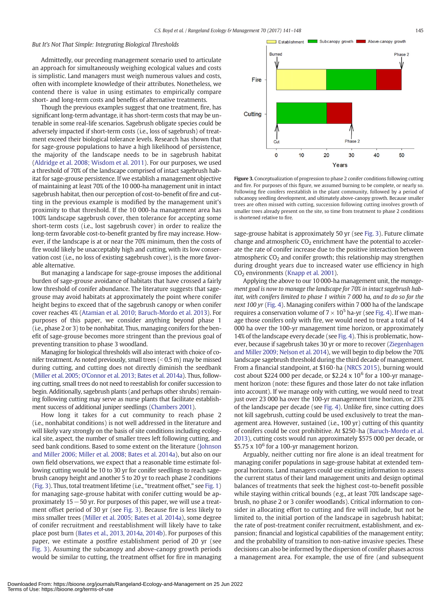#### <span id="page-5-0"></span>But It's Not That Simple: Integrating Biological Thresholds



Admittedly, our preceding management scenario used to articulate an approach for simultaneously weighing ecological values and costs is simplistic. Land managers must weigh numerous values and costs, often with incomplete knowledge of their attributes. Nonetheless, we contend there is value in using estimates to empirically compare short- and long-term costs and benefits of alternative treatments.

Though the previous examples suggest that one treatment, fire, has significant long-term advantage, it has short-term costs that may be untenable in some real-life scenarios. Sagebrush obligate species could be adversely impacted if short-term costs (i.e., loss of sagebrush) of treatment exceed their biological tolerance levels. Research has shown that for sage-grouse populations to have a high likelihood of persistence, the majority of the landscape needs to be in sagebrush habitat [\(Aldridge et al. 2008; Wisdom et al. 2011](#page-7-0)). For our purposes, we used a threshold of 70% of the landscape comprised of intact sagebrush habitat for sage-grouse persistence. If we establish a management objective of maintaining at least 70% of the 10 000-ha management unit in intact sagebrush habitat, then our perception of cost-to-benefit of fire and cutting in the previous example is modified by the management unit's proximity to that threshold. If the 10 000-ha management area has 100% landscape sagebrush cover, then tolerance for accepting some short-term costs (i.e., lost sagebrush cover) in order to realize the long-term favorable cost-to-benefit granted by fire may increase. However, if the landscape is at or near the 70% minimum, then the costs of fire would likely be unacceptably high and cutting, with its low conservation cost (i.e., no loss of existing sagebrush cover), is the more favorable alternative.

But managing a landscape for sage-grouse imposes the additional burden of sage-grouse avoidance of habitats that have crossed a fairly low threshold of conifer abundance. The literature suggests that sagegrouse may avoid habitats at approximately the point where conifer height begins to exceed that of the sagebrush canopy or when conifer cover reaches 4% ([Atamian et al. 2010; Baruch-Mordo et al. 2013\)](#page-7-0). For purposes of this paper, we consider anything beyond phase 1 (i.e., phase 2 or 3) to be nonhabitat. Thus, managing conifers for the benefit of sage-grouse becomes more stringent than the previous goal of preventing transition to phase 3 woodland.

Managing for biological thresholds will also interact with choice of conifer treatment. As noted previously, small trees  $( $0.5$  m) may be missed$ during cutting, and cutting does not directly diminish the seedbank (Miller et al. 2005; O'[Connor et al. 2013; Bates et al. 2014a\)](#page-7-0). Thus, following cutting, small trees do not need to reestablish for conifer succession to begin. Additionally, sagebrush plants (and perhaps other shrubs) remaining following cutting may serve as nurse plants that facilitate establishment success of additional juniper seedlings ([Chambers 2001\)](#page-7-0).

How long it takes for a cut community to reach phase 2 (i.e., nonhabitat conditions) is not well addressed in the literature and will likely vary strongly on the basis of site conditions including ecological site, aspect, the number of smaller trees left following cutting, and seed bank conditions. Based to some extent on the literature ([Johnson](#page-7-0) [and Miller 2006; Miller et al. 2008; Bates et al. 2014a](#page-7-0)), but also on our own field observations, we expect that a reasonable time estimate following cutting would be 10 to 30 yr for conifer seedlings to reach sagebrush canopy height and another 5 to 20 yr to reach phase 2 conditions (Fig. 3). Thus, total treatment lifetime (i.e., "treatment offset," see [Fig. 1](#page-3-0)) for managing sage-grouse habitat with conifer cutting would be approximately 15−50 yr. For purposes of this paper, we will use a treatment offset period of 30 yr (see Fig. 3). Because fire is less likely to miss smaller trees ([Miller et al. 2005; Bates et al. 2014a\)](#page-7-0), some degree of conifer recruitment and reestablishment will likely have to take place post burn [\(Bates et al., 2013, 2014a, 2014b\)](#page-7-0). For purposes of this paper, we estimate a postfire establishment period of 20 yr (see Fig. 3). Assuming the subcanopy and above-canopy growth periods would be similar to cutting, the treatment offset for fire in managing

Figure 3. Conceptualization of progression to phase 2 conifer conditions following cutting and fire. For purposes of this figure, we assumed burning to be complete, or nearly so. Following fire conifers reestablish in the plant community, followed by a period of subcanopy seedling development, and ultimately above-canopy growth. Because smaller trees are often missed with cutting, succession following cutting involves growth of smaller trees already present on the site, so time from treatment to phase 2 conditions is shortened relative to fire.

sage-grouse habitat is approximately 50 yr (see Fig. 3). Future climate change and atmospheric  $CO<sub>2</sub>$  enrichment have the potential to accelerate the rate of conifer increase due to the positive interaction between atmospheric  $CO<sub>2</sub>$  and conifer growth; this relationship may strengthen during drought years due to increased water use efficiency in high CO2 environments [\(Knapp et al. 2001](#page-7-0)).

Applying the above to our 10 000-ha management unit, the management goal is now to manage the landscape for 70% in intact sagebrush habitat, with conifers limited to phase 1 within 7 000 ha, and to do so for the next 100 yr [\(Fig. 4\)](#page-6-0). Managing conifers within 7 000 ha of the landscape requires a conservation volume of  $7 \times 10^5$  ha-yr (see [Fig. 4](#page-6-0)). If we manage those conifers only with fire, we would need to treat a total of 14 000 ha over the 100-yr management time horizon, or approximately 14% of the landscape every decade (see [Fig. 4\)](#page-6-0). This is problematic, however, because if sagebrush takes 30 yr or more to recover [\(Ziegenhagen](#page-8-0) [and Miller 2009; Nelson et al. 2014\)](#page-8-0), we will begin to dip below the 70% landscape sagebrush threshold during the third decade of management. From a financial standpoint, at \$160·ha ([NRCS 2015](#page-7-0)), burning would cost about \$224 000 per decade, or \$2.24 x  $10^6$  for a 100-yr management horizon (note: these figures and those later do not take inflation into account). If we manage only with cutting, we would need to treat just over 23 000 ha over the 100-yr management time horizon, or 23% of the landscape per decade (see [Fig. 4](#page-6-0)). Unlike fire, since cutting does not kill sagebrush, cutting could be used exclusively to treat the management area. However, sustained (i.e., 100 yr) cutting of this quantity of conifers could be cost prohibitive. At \$250·ha ([Baruch-Mordo et al.](#page-7-0) [2013](#page-7-0)), cutting costs would run approximately \$575 000 per decade, or \$5.75 x  $10^6$  for a 100-yr management horizon.

Arguably, neither cutting nor fire alone is an ideal treatment for managing conifer populations in sage-grouse habitat at extended temporal horizons. Land managers could use existing information to assess the current status of their land management units and design optimal balances of treatments that seek the highest cost-to-benefit possible while staying within critical bounds (e.g., at least 70% landscape sagebrush, no phase 2 or 3 conifer woodlands). Critical information to consider in allocating effort to cutting and fire will include, but not be limited to, the initial portion of the landscape in sagebrush habitat; the rate of post-treatment conifer recruitment, establishment, and expansion; financial and logistical capabilities of the management entity; and the probability of transition to non-native invasive species. These decisions can also be informed by the dispersion of conifer phases across a management area. For example, the use of fire (and subsequent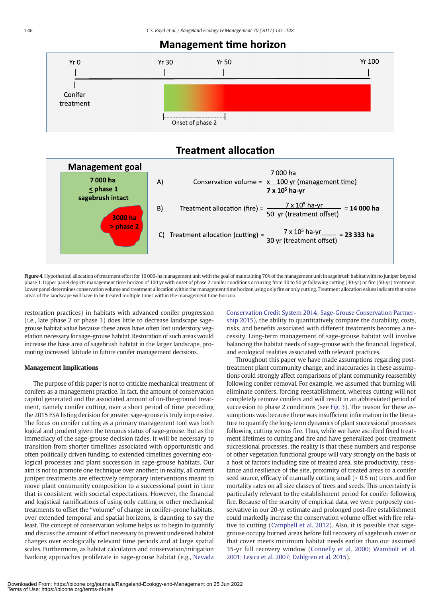### **Management time horizon**

<span id="page-6-0"></span>

### **Treatment allocation**



Figure 4. Hypothetical allocation of treatment effort for 10 000-ha management unit with the goal of maintaining 70% of the management unit in sagebrush habitat with no juniper beyond phase 1. Upper panel depicts management time horizon of 100 yr with onset of phase 2 conifer conditions occurring from 30 to 50 yr following cutting (30-yr) or fire (50-yr) treatment. Lower panel determines conservation volume and treatment allocation within the management time horizon using only fire or only cutting. Treatment allocation values indicate that some areas of the landscape will have to be treated multiple times within the management time horizon.

restoration practices) in habitats with advanced conifer progression (i.e., late phase 2 or phase 3) does little to decrease landscape sagegrouse habitat value because these areas have often lost understory vegetation necessary for sage-grouse habitat. Restoration of such areas would increase the base area of sagebrush habitat in the larger landscape, promoting increased latitude in future conifer management decisions.

#### Management Implications

The purpose of this paper is not to criticize mechanical treatment of conifers as a management practice. In fact, the amount of conservation capitol generated and the associated amount of on-the-ground treatment, namely conifer cutting, over a short period of time preceding the 2015 ESA listing decision for greater sage-grouse is truly impressive. The focus on conifer cutting as a primary management tool was both logical and prudent given the tenuous status of sage-grouse. But as the immediacy of the sage-grouse decision fades, it will be necessary to transition from shorter timelines associated with opportunistic and often politically driven funding, to extended timelines governing ecological processes and plant succession in sage-grouse habitats. Our aim is not to promote one technique over another; in reality, all current juniper treatments are effectively temporary interventions meant to move plant community composition to a successional point in time that is consistent with societal expectations. However, the financial and logistical ramifications of using only cutting or other mechanical treatments to offset the "volume" of change in conifer-prone habitats, over extended temporal and spatial horizons, is daunting to say the least. The concept of conservation volume helps us to begin to quantify and discuss the amount of effort necessary to prevent undesired habitat changes over ecologically relevant time periods and at large spatial scales. Furthermore, as habitat calculators and conservation/mitigation banking approaches proliferate in sage-grouse habitat (e.g., [Nevada](#page-7-0)

[Conservation Credit System 2014; Sage-Grouse Conservation Partner](#page-7-0)[ship 2015](#page-7-0)), the ability to quantitatively compare the durability, costs, risks, and benefits associated with different treatments becomes a necessity. Long-term management of sage-grouse habitat will involve balancing the habitat needs of sage-grouse with the financial, logistical, and ecological realities associated with relevant practices.

Throughout this paper we have made assumptions regarding posttreatment plant community change, and inaccuracies in these assumptions could strongly affect comparisons of plant community reassembly following conifer removal. For example, we assumed that burning will eliminate conifers, forcing reestablishment, whereas cutting will not completely remove conifers and will result in an abbreviated period of succession to phase 2 conditions (see [Fig. 3](#page-5-0)). The reason for these assumptions was because there was insufficient information in the literature to quantify the long-term dynamics of plant successional processes following cutting versus fire. Thus, while we have ascribed fixed treatment lifetimes to cutting and fire and have generalized post-treatment successional processes, the reality is that these numbers and response of other vegetation functional groups will vary strongly on the basis of a host of factors including size of treated area, site productivity, resistance and resilience of the site, proximity of treated areas to a conifer seed source, efficacy of manually cutting small  $($  < 0.5 m) trees, and fire mortality rates on all size classes of trees and seeds. This uncertainty is particularly relevant to the establishment period for conifer following fire. Because of the scarcity of empirical data, we were purposely conservative in our 20-yr estimate and prolonged post-fire establishment could markedly increase the conservation volume offset with fire relative to cutting ([Campbell et al. 2012](#page-7-0)). Also, it is possible that sagegrouse occupy burned areas before full recovery of sagebrush cover or that cover meets minimum habitat needs earlier than our assumed 35-yr full recovery window [\(Connelly et al. 2000; Wambolt et al.](#page-7-0) [2001; Lesica et al. 2007; Dahlgren et al. 2015](#page-7-0)).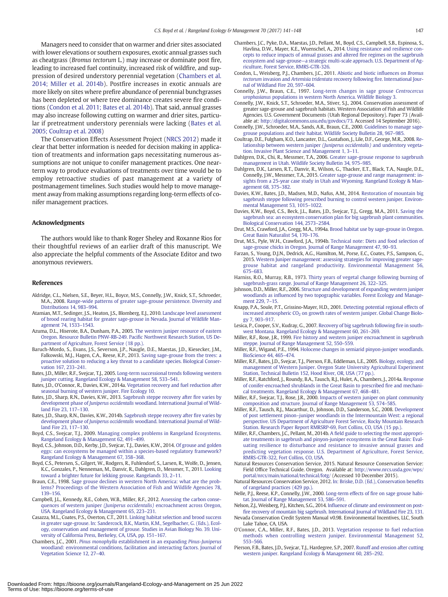<span id="page-7-0"></span>Managers need to consider that on warmer and drier sites associated with lower elevations or southern exposures, exotic annual grasses such as cheatgrass (Bromus tectorum L.) may increase or dominate post fire, leading to increased fuel continuity, increased risk of wildfire, and suppression of desired understory perennial vegetation (Chambers et al. 2014; Miller et al. 2014b). Postfire increases in exotic annuals are more likely on sites where prefire abundance of perennial bunchgrasses has been depleted or where tree dominance creates severe fire conditions (Condon et al. 2011; Bates et al. 2014b). That said, annual grasses may also increase following cutting on warmer and drier sites, particular if pretreatment understory perennials were lacking (Bates et al. 2005; Coultrap et al. 2008)

The Conservation Effects Assessment Project (NRCS 2012) made it clear that better information is needed for decision making in application of treatments and information gaps necessitating numerous assumptions are not unique to conifer management practices. One nearterm way to produce evaluations of treatments over time would be to employ retroactive studies of past management at a variety of postmanagement timelines. Such studies would help to move management away from making assumptions regarding long-term effects of conifer management practices.

#### Acknowledgments

The authors would like to thank Roger Sheley and Roxanne Rios for their thoughtful reviews of an earlier draft of this manuscript. We also appreciate the helpful comments of the Associate Editor and two anonymous reviewers.

#### References

- Aldridge, C.L., Nielsen, S.E., Beyer, H.L., Boyce, M.S., Connelly, J.W., Knick, S.T., Schroeder, M.A., 2008. [Range-wide patterns of greater sage-grouse persistence. Diversity and](http://refhub.elsevier.com/S1550-7424(16)30080-X/rf0005) [Distributions 14, 983](http://refhub.elsevier.com/S1550-7424(16)30080-X/rf0005)–994.
- Atamian, M.T., Sedinger, J.S., Heaton, J.S., Blomberg, E.J., 2010. [Landscape level assessment](http://refhub.elsevier.com/S1550-7424(16)30080-X/rf0010) [of brood rearing habitat for greater sage-grouse in Nevada. Journal of Wildlife Man](http://refhub.elsevier.com/S1550-7424(16)30080-X/rf0010)[agement 74, 1533](http://refhub.elsevier.com/S1550-7424(16)30080-X/rf0010)–1543.
- Azuma, D.L., Hiserote, B.A., Dunham, P.A., 2005. [The western juniper resource of eastern](http://refhub.elsevier.com/S1550-7424(16)30080-X/rf0015) [Oregon. Resource Bulletin PNW-RB-249. Paci](http://refhub.elsevier.com/S1550-7424(16)30080-X/rf0015)fic Northwest Research Station, US De[partment of Agriculture, Forest Service \(18 pp.\).](http://refhub.elsevier.com/S1550-7424(16)30080-X/rf0015)
- Baruch-Mordo, S., Evans, J.S., Severson, J.P., Naugle, D.E., Maestas, J.D., Kiesecker, J.M., Falkowski, M.J., Hagen, C.A., Reese, K.P., 2013. [Saving sage-grouse from the trees: a](http://refhub.elsevier.com/S1550-7424(16)30080-X/rf0020) [proactive solution to reducing a key threat to a candidate species. Biological Conser](http://refhub.elsevier.com/S1550-7424(16)30080-X/rf0020)[vation 167, 233](http://refhub.elsevier.com/S1550-7424(16)30080-X/rf0020)–241.
- Bates, J.D., Miller, R.F., Svejcar, T.J., 2005. [Long-term successional trends following western](http://refhub.elsevier.com/S1550-7424(16)30080-X/rf0025) [juniper cutting. Rangeland Ecology & Management 58, 533](http://refhub.elsevier.com/S1550-7424(16)30080-X/rf0025)–541.
- Bates, J.D., O'Connor, R., Davies, K.W., 2014a. [Vegetation recovery and fuel reduction after](http://refhub.elsevier.com/S1550-7424(16)30080-X/rf0030) [seasonal burning of western juniper. Fire Ecology 10.](http://refhub.elsevier.com/S1550-7424(16)30080-X/rf0030)
- Bates, J.D., Sharp, R.N., Davies, K.W., 2013. [Sagebrush steppe recovery after](http://refhub.elsevier.com/S1550-7424(16)30080-X/rf0035) fire varies by development phase of Juniperus occidentalis [woodland. International Journal of Wild](http://refhub.elsevier.com/S1550-7424(16)30080-X/rf0035)[land Fire 23, 117](http://refhub.elsevier.com/S1550-7424(16)30080-X/rf0035)–130.
- Bates, J.D., Sharp, R.N., Davies, K.W., 2014b. [Sagebrush steppe recovery after](http://refhub.elsevier.com/S1550-7424(16)30080-X/rf0040) fire varies by development phase of Juniperus occidentalis [woodland. International Journal of Wild](http://refhub.elsevier.com/S1550-7424(16)30080-X/rf0040)[land Fire 23, 117](http://refhub.elsevier.com/S1550-7424(16)30080-X/rf0040)–130.
- Boyd, C.S., Svejcar, T.J., 2009. [Managing complex problems in Rangeland Ecosystems.](http://refhub.elsevier.com/S1550-7424(16)30080-X/rf0045) [Rangeland Ecology & Management 62, 491](http://refhub.elsevier.com/S1550-7424(16)30080-X/rf0045)–499.
- Boyd, C.S., Johnson, D.D., Kerby, J.D., Svejcar, T.J., Davies, K.W., 2014. [Of grouse and golden](http://refhub.elsevier.com/S1550-7424(16)30080-X/rf0050) [eggs: can ecosystems be managed within a species-based regulatory framework?](http://refhub.elsevier.com/S1550-7424(16)30080-X/rf0050) [Rangeland Ecology & Management 67, 358](http://refhub.elsevier.com/S1550-7424(16)30080-X/rf0050)–368.
- Boyd, C.S., Petersen, S., Gilgert, W., Rodgers, R., Fuhlendorf, S., Larsen, R., Wolfe, D., Jensen, K.C., Gonzales, P., Nenneman, M., Danvir, R., Dahlgren, D., Messmer, T., 2011. [Looking](http://refhub.elsevier.com/S1550-7424(16)30080-X/rf0055) [toward a brighter future for lekking grouse. Rangelands 33, 2](http://refhub.elsevier.com/S1550-7424(16)30080-X/rf0055)–11.
- Braun, C.E., 1998. [Sage grouse declines in western North America: what are the prob](http://refhub.elsevier.com/S1550-7424(16)30080-X/rf0060)[lems? Proceedings of the Western Association of Fish and Wildlife Agencies 78,](http://refhub.elsevier.com/S1550-7424(16)30080-X/rf0060) [139](http://refhub.elsevier.com/S1550-7424(16)30080-X/rf0060)–156.
- Campbell, J.L., Kennedy, R.E., Cohen, W.B., Miller, R.F., 2012. [Assessing the carbon conse](http://refhub.elsevier.com/S1550-7424(16)30080-X/rf0065)quences of western juniper (Juniperus occidentalis) [encroachment across Oregon,](http://refhub.elsevier.com/S1550-7424(16)30080-X/rf0065) [USA. Rangeland Ecology & Management 65, 223](http://refhub.elsevier.com/S1550-7424(16)30080-X/rf0065)–231.
- Casazza, M.L., Coates, P.S., Overton, C.T., 2011. [Linking habitat selection and brood success](http://refhub.elsevier.com/S1550-7424(16)30080-X/rf0070) [in greater sage-grouse. In: Sandercock, B.K., Martin, K.M., Segelbacher, G. \(Eds.\), Ecol](http://refhub.elsevier.com/S1550-7424(16)30080-X/rf0070)[ogy, conservation and management of grouse. Studies in Avian Biology No. 39. Uni](http://refhub.elsevier.com/S1550-7424(16)30080-X/rf0070)[versity of California Press, Berkeley, CA, USA, pp. 151](http://refhub.elsevier.com/S1550-7424(16)30080-X/rf0070)–167.
- Chambers, J.C., 2001. Pinus monophylla [establishment in an expanding](http://refhub.elsevier.com/S1550-7424(16)30080-X/rf0075) Pinus-Juniperus [woodland: environmental conditions, facilitation and interacting factors. Journal of](http://refhub.elsevier.com/S1550-7424(16)30080-X/rf0075) [Vegetation Science 12, 27](http://refhub.elsevier.com/S1550-7424(16)30080-X/rf0075)–40.
- Chambers, J.C., Pyke, D.A., Maestas, J.D., Pellant, M., Boyd, C.S., Campbell, S.B., Espinosa, S., Havlina, D.W., Mayer, K.E., Wuenschel, A., 2014. [Using resistance and resilience con](http://refhub.elsevier.com/S1550-7424(16)30080-X/rf0080)[cepts to reduce impacts of annual grasses and altered](http://refhub.elsevier.com/S1550-7424(16)30080-X/rf0080) fire regimes on the sagebrush ecosystem and sage-grouse—[a strategic multi-scale approach. U.S. Department of Ag](http://refhub.elsevier.com/S1550-7424(16)30080-X/rf0080)[riculture, Forest Service, RMRS-GTR-326](http://refhub.elsevier.com/S1550-7424(16)30080-X/rf0080).
- Condon, L., Weisberg, P.J., Chambers, J.C., 2011. [Abiotic and biotic in](http://refhub.elsevier.com/S1550-7424(16)30080-X/rf0085)fluences on Bromus tectorum invasion and Artemisia tridentata recovery following fi[re. International Jour](http://refhub.elsevier.com/S1550-7424(16)30080-X/rf0085)[nal of Wildland Fire 20, 597](http://refhub.elsevier.com/S1550-7424(16)30080-X/rf0085)–604.
- Connelly, J.W., Braun, C.E., 1997. [Long-term changes in sage grouse](http://refhub.elsevier.com/S1550-7424(16)30080-X/rf0090) Centrocercus urophasianus [populations in western North America. Wildlife Biology 3](http://refhub.elsevier.com/S1550-7424(16)30080-X/rf0090).
- Connelly, J.W., Knick, S.T., Schroeder, M.A., Stiver, S.J., 2004. Conservation assessment of greater sage-grouse and sagebrush habitats. Western Association of Fish and Wildlife Agencies. U.S. Government Documents (Utah Regional Depository). Paper 73 (Available at: <http://digitalcommons.usu.edu/govdocs/73>. Accessed 14 September 2016).
- Connelly, J.W., Schroeder, M.A., Sands, A.R., Braun, C.E., 2000. [Guidelines to manage sage](http://refhub.elsevier.com/S1550-7424(16)30080-X/rf0100)[grouse populations and their habitat. Wildlife Society Bulletin 28, 967](http://refhub.elsevier.com/S1550-7424(16)30080-X/rf0100)–985.
- Coultrap, D.E., Fulgham, K.O., Lancaster, D.L., Gustafson, J., Lile, D.F., George, M.R., 2008. [Re](http://refhub.elsevier.com/S1550-7424(16)30080-X/rf0105)[lationship between western juniper](http://refhub.elsevier.com/S1550-7424(16)30080-X/rf0105) (Juniperus occidentalis) and understory vegeta[tion. Invasive Plant Science and Management 1, 3](http://refhub.elsevier.com/S1550-7424(16)30080-X/rf0105)–11.
- Dahlgren, D.K., Chi, R., Messmer, T.A., 2006. [Greater sage-grouse response to sagebrush](http://refhub.elsevier.com/S1550-7424(16)30080-X/rf0110) [management in Utah. Wildlife Society Bulletin 34, 975](http://refhub.elsevier.com/S1550-7424(16)30080-X/rf0110)–985.
- Dahlgren, D.K., Larsen, R.T., Danvir, R., Wilson, G., Thacker, E.T., Black, T.A., Naugle, D.E., Connelly, J.W., Messmer, T.A., 2015. [Greater sage-grouse and range management: in](http://refhub.elsevier.com/S1550-7424(16)30080-X/rf0115)[sights from a 25-year case study in Utah and Wyoming. Rangeland Ecology & Man](http://refhub.elsevier.com/S1550-7424(16)30080-X/rf0115)[agement 68, 375](http://refhub.elsevier.com/S1550-7424(16)30080-X/rf0115)–382.
- Davies, K.W., Bates, J.D., Madsen, M.D., Nafus, A.M., 2014. [Restoration of mountain big](http://refhub.elsevier.com/S1550-7424(16)30080-X/rf0120) [sagebrush steppe following prescribed burning to control western juniper. Environ](http://refhub.elsevier.com/S1550-7424(16)30080-X/rf0120)[mental Management 53, 1015](http://refhub.elsevier.com/S1550-7424(16)30080-X/rf0120)–1022.
- Davies, K.W., Boyd, C.S., Beck, J.L., Bates, J.D., Svejcar, T.J., Gregg, M.A., 2011. [Saving the](http://refhub.elsevier.com/S1550-7424(16)30080-X/rf0125) [sagebrush sea: an ecosystem conservation plan for big sagebrush plant communities.](http://refhub.elsevier.com/S1550-7424(16)30080-X/rf0125) [Biological Conservation 144, 2573](http://refhub.elsevier.com/S1550-7424(16)30080-X/rf0125)–2584.
- Drut, M.S., Crawford, J.A., Gregg, M.A., 1994a. [Brood habitat use by sage-grouse in Oregon.](http://refhub.elsevier.com/S1550-7424(16)30080-X/rf0130) [Great Basin Naturalist 54, 170](http://refhub.elsevier.com/S1550-7424(16)30080-X/rf0130)–176.
- Drut, M.S., Pyle, W.H., Crawford, J.A., 1994b. [Technical note: Diets and food selection of](http://refhub.elsevier.com/S1550-7424(16)30080-X/rf0135) [sage-grouse chicks in Oregon. Journal of Range Management 47, 90](http://refhub.elsevier.com/S1550-7424(16)30080-X/rf0135)–93.
- Farzan, S., Young, D.J.N., Dedrick, A.G., Hamilton, M., Porse, E.C., Coates, P.S., Sampson, G., 2015. [Western Juniper management: assessing strategies for improving greater sage](http://refhub.elsevier.com/S1550-7424(16)30080-X/rf0140)[grouse habitat and rangeland productivity. Environmental Management 56,](http://refhub.elsevier.com/S1550-7424(16)30080-X/rf0140) [675](http://refhub.elsevier.com/S1550-7424(16)30080-X/rf0140)–683.
- Harniss, R.O., Murray, R.B., 1973. [Thirty years of vegetal change following burning of](http://refhub.elsevier.com/S1550-7424(16)30080-X/rf0145) [sagebrush-grass range. Journal of Range Management 26, 322](http://refhub.elsevier.com/S1550-7424(16)30080-X/rf0145)–325.
- Johnson, D.D., Miller, R.F., 2006. [Structure and development of expanding western juniper](http://refhub.elsevier.com/S1550-7424(16)30080-X/rf0150) woodlands as infl[uenced by two topographic variables. Forest Ecology and Manage](http://refhub.elsevier.com/S1550-7424(16)30080-X/rf0150)[ment 229, 7](http://refhub.elsevier.com/S1550-7424(16)30080-X/rf0150)–15.
- Knapp, P.A., Soule, P.T., Grissino-Mayer, H.D., 2001. [Detecting potential regional effects of](http://refhub.elsevier.com/S1550-7424(16)30080-X/rf0155)  $increased$  atmospheric  $CO<sub>2</sub>$  [on growth rates of western juniper. Global Change Biolo](http://refhub.elsevier.com/S1550-7424(16)30080-X/rf0155)[gy 7, 903](http://refhub.elsevier.com/S1550-7424(16)30080-X/rf0155)–917.
- Lesica, P., Cooper, S.V., Kudray, G., 2007. [Recovery of big sagebrush following](http://refhub.elsevier.com/S1550-7424(16)30080-X/rf0160) fire in south[west Montana. Rangeland Ecology & Management 60, 261](http://refhub.elsevier.com/S1550-7424(16)30080-X/rf0160)–269.
- Miller, R.F., Rose, J.R., 1999. [Fire history and western juniper encroachment in sagebrush](http://refhub.elsevier.com/S1550-7424(16)30080-X/rf0165) [steppe. Journal of Range Management 52, 550](http://refhub.elsevier.com/S1550-7424(16)30080-X/rf0165)–559.
- Miller, R.F., Wigand, P.E., 1994. [Holocene changes in semiarid pinyon-juniper woodlands.](http://refhub.elsevier.com/S1550-7424(16)30080-X/rf0170) [BioScience 44, 465](http://refhub.elsevier.com/S1550-7424(16)30080-X/rf0170)–474.
- Miller, R.F., Bates, J.D., Svejcar, T.J., Pierson, F.B., Eddleman, L.E., 2005. [Biology, ecology, and](http://refhub.elsevier.com/S1550-7424(16)30080-X/rf0175) [management of Western Juniper. Oregon State University Agricultural Experiment](http://refhub.elsevier.com/S1550-7424(16)30080-X/rf0175) [Station, Technical Bulletin 152, Hood River, OR, USA \(77 pp.\)](http://refhub.elsevier.com/S1550-7424(16)30080-X/rf0175).
- Miller, R.F., Ratchford, J., Roundy, B.A., Tausch, R.J., Hulet, A., Chambers, J., 2014a. [Response](http://refhub.elsevier.com/S1550-7424(16)30080-X/rf0180) [of conifer-encroached shrublands in the Great Basin to prescribed](http://refhub.elsevier.com/S1550-7424(16)30080-X/rf0180) fire and mechani[cal treatments. Rangeland Ecology & Management 67, 468](http://refhub.elsevier.com/S1550-7424(16)30080-X/rf0180)–481.
- Miller, R.F., Svejcar, T.J., Rose, J.R., 2000. [Impacts of western juniper on plant community](http://refhub.elsevier.com/S1550-7424(16)30080-X/rf0185) [composition and structure. Journal of Range Management 53, 574](http://refhub.elsevier.com/S1550-7424(16)30080-X/rf0185)–585.
- Miller, R.F., Tausch, R.J., Macarthur, D., Johnson, D.D., Sanderson, S.C., 2008. [Development](http://refhub.elsevier.com/S1550-7424(16)30080-X/rf0190) of post settlement pinon–[juniper woodlands in the Intermountain West: a regional](http://refhub.elsevier.com/S1550-7424(16)30080-X/rf0190) [perspective. US Department of Agriculture Forest Service, Rocky Mountain Research](http://refhub.elsevier.com/S1550-7424(16)30080-X/rf0190) [Station. Research Paper Report RMRSRP-69, Fort Collins, CO, USA \(15 pp.\)](http://refhub.elsevier.com/S1550-7424(16)30080-X/rf0190).
- Miller, R.F., Chambers, J.C., Pellant, M., 2014b. A fi[eld guide to selecting the most appropri](http://refhub.elsevier.com/S1550-7424(16)30080-X/rf0195)[ate treatments in sagebrush and pinyon-juniper ecosystems in the Great Basin: Eval](http://refhub.elsevier.com/S1550-7424(16)30080-X/rf0195)[uating resilience to disturbance and resistance to invasive annual grasses and](http://refhub.elsevier.com/S1550-7424(16)30080-X/rf0195) [predicting vegetation response. U.S. Department of Agriculture, Forest Service,](http://refhub.elsevier.com/S1550-7424(16)30080-X/rf0195) [RMRS-GTR-322, Fort Collins, CO, USA](http://refhub.elsevier.com/S1550-7424(16)30080-X/rf0195).
- Natural Resources Conservation Service, 2015. Natural Resource Conservation Service: Field Office Technical Guide. Oregon. Available at: [http://www.nrcs.usda.gov/wps/](http://www.nrcs.usda.gov/wps/portal/nrcs/main/national/technical/fotg/) [portal/nrcs/main/national/technical/fotg/](http://www.nrcs.usda.gov/wps/portal/nrcs/main/national/technical/fotg/) (Accessed 10 December 2015).
- Natural Resources Conservation Service, 2012. [In: Briske, D.D. \(Ed.\), Conservation bene](http://refhub.elsevier.com/S1550-7424(16)30080-X/rf0205)fits [of rangeland practices \(429 pp.\).](http://refhub.elsevier.com/S1550-7424(16)30080-X/rf0205)
- Nelle, P.J., Reese, K.P., Connelly, J.W., 2000. Long-term effects of fi[re on sage grouse habi](http://refhub.elsevier.com/S1550-7424(16)30080-X/rf0210)[tat. Journal of Range Management 53, 586](http://refhub.elsevier.com/S1550-7424(16)30080-X/rf0210)–591.
- Nelson, Z.J., Weisberg, P.J., Kitchen, S.G., 2014. Infl[uence of climate and environment on post](http://refhub.elsevier.com/S1550-7424(16)30080-X/rf0215)fi[re recovery of mountain big sagebrush. International Journal of Wildland Fire 23, 131](http://refhub.elsevier.com/S1550-7424(16)30080-X/rf0215).
- Nevada Conservation Credit System Manual v0.98. Environmental Incentives, LLC, South Lake Tahoe, CA, USA.
- O'Connor, C.A., Miller, R.F., Bates, J.D., 2013. [Vegetation response to fuel reduction](http://refhub.elsevier.com/S1550-7424(16)30080-X/rf0225) [methods when controlling western juniper. Environmental Management 52,](http://refhub.elsevier.com/S1550-7424(16)30080-X/rf0225) [553](http://refhub.elsevier.com/S1550-7424(16)30080-X/rf0225)–566.
- Pierson, F.B., Bates, J.D., Svejcar, T.J., Hardegree, S.P., 2007. [Runoff and erosion after cutting](http://refhub.elsevier.com/S1550-7424(16)30080-X/rf0230) [western juniper. Rangeland Ecology & Management 60, 285](http://refhub.elsevier.com/S1550-7424(16)30080-X/rf0230)–292.